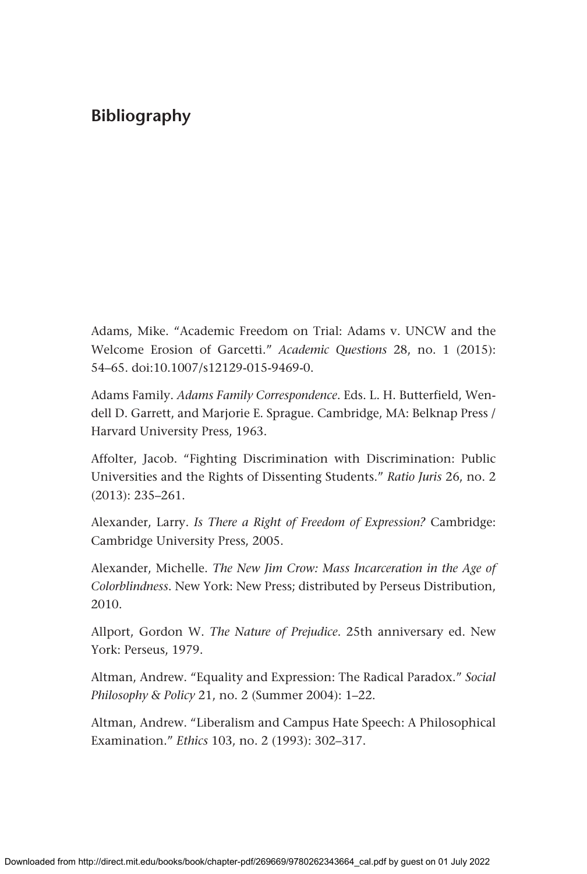Adams, Mike. "Academic Freedom on Trial: Adams v. UNCW and the Welcome Erosion of Garcetti." *Academic Questions* 28, no. 1 (2015): 54–65. doi:10.1007/s12129-015-9469-0.

Adams Family. *Adams Family Correspondence*. Eds. L. H. Butterfield, Wendell D. Garrett, and Marjorie E. Sprague. Cambridge, MA: Belknap Press / Harvard University Press, 1963.

Affolter, Jacob. "Fighting Discrimination with Discrimination: Public Universities and the Rights of Dissenting Students." *Ratio Juris* 26, no. 2 (2013): 235–261.

Alexander, Larry. *Is There a Right of Freedom of Expression?* Cambridge: Cambridge University Press, 2005.

Alexander, Michelle. *The New Jim Crow: Mass Incarceration in the Age of Colorblindness*. New York: New Press; distributed by Perseus Distribution, 2010.

Allport, Gordon W. *The Nature of Prejudice*. 25th anniversary ed. New York: Perseus, 1979.

Altman, Andrew. "Equality and Expression: The Radical Paradox." *Social Philosophy & Policy* 21, no. 2 (Summer 2004): 1–22.

Altman, Andrew. "Liberalism and Campus Hate Speech: A Philosophical Examination." *Ethics* 103, no. 2 (1993): 302–317.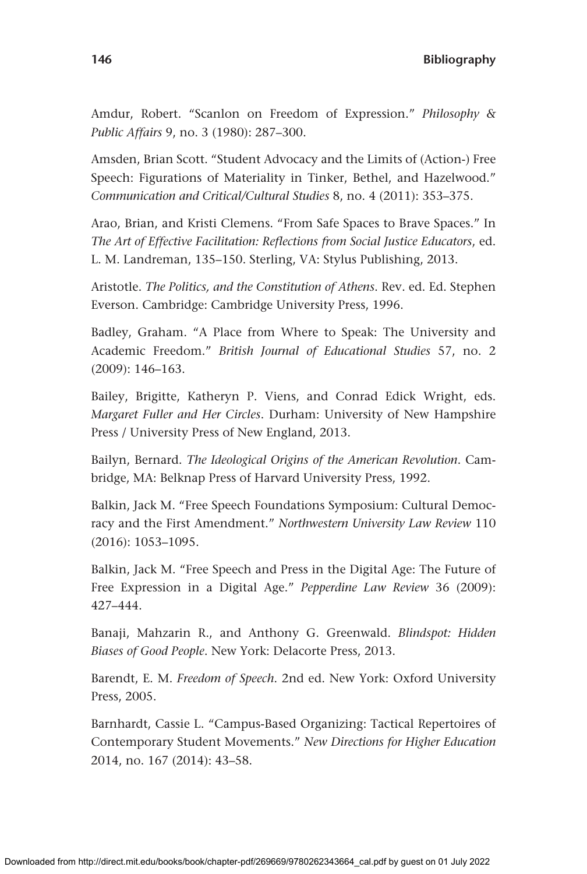Amdur, Robert. "Scanlon on Freedom of Expression." *Philosophy & Public Affairs* 9, no. 3 (1980): 287–300.

Amsden, Brian Scott. "Student Advocacy and the Limits of (Action-) Free Speech: Figurations of Materiality in Tinker, Bethel, and Hazelwood." *Communication and Critical/Cultural Studies* 8, no. 4 (2011): 353–375.

Arao, Brian, and Kristi Clemens. "From Safe Spaces to Brave Spaces." In *The Art of Effective Facilitation: Reflections from Social Justice Educators*, ed. L. M. Landreman, 135–150. Sterling, VA: Stylus Publishing, 2013.

Aristotle. *The Politics, and the Constitution of Athens*. Rev. ed. Ed. Stephen Everson. Cambridge: Cambridge University Press, 1996.

Badley, Graham. "A Place from Where to Speak: The University and Academic Freedom." *British Journal of Educational Studies* 57, no. 2 (2009): 146–163.

Bailey, Brigitte, Katheryn P. Viens, and Conrad Edick Wright, eds. *Margaret Fuller and Her Circles*. Durham: University of New Hampshire Press / University Press of New England, 2013.

Bailyn, Bernard. *The Ideological Origins of the American Revolution*. Cambridge, MA: Belknap Press of Harvard University Press, 1992.

Balkin, Jack M. "Free Speech Foundations Symposium: Cultural Democracy and the First Amendment." *Northwestern University Law Review* 110 (2016): 1053–1095.

Balkin, Jack M. "Free Speech and Press in the Digital Age: The Future of Free Expression in a Digital Age." *Pepperdine Law Review* 36 (2009): 427–444.

Banaji, Mahzarin R., and Anthony G. Greenwald. *Blindspot: Hidden Biases of Good People*. New York: Delacorte Press, 2013.

Barendt, E. M. *Freedom of Speech*. 2nd ed. New York: Oxford University Press, 2005.

Barnhardt, Cassie L. "Campus-Based Organizing: Tactical Repertoires of Contemporary Student Movements." *New Directions for Higher Education* 2014, no. 167 (2014): 43–58.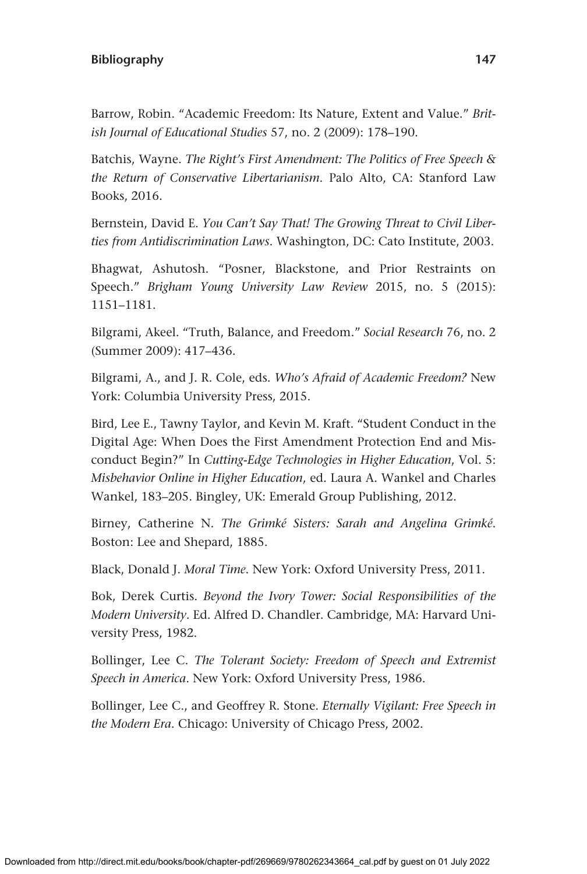Barrow, Robin. "Academic Freedom: Its Nature, Extent and Value." *British Journal of Educational Studies* 57, no. 2 (2009): 178–190.

Batchis, Wayne. *The Right's First Amendment: The Politics of Free Speech & the Return of Conservative Libertarianism*. Palo Alto, CA: Stanford Law Books, 2016.

Bernstein, David E. *You Can't Say That! The Growing Threat to Civil Liberties from Antidiscrimination Laws*. Washington, DC: Cato Institute, 2003.

Bhagwat, Ashutosh. "Posner, Blackstone, and Prior Restraints on Speech." *Brigham Young University Law Review* 2015, no. 5 (2015): 1151–1181.

Bilgrami, Akeel. "Truth, Balance, and Freedom." *Social Research* 76, no. 2 (Summer 2009): 417–436.

Bilgrami, A., and J. R. Cole, eds. *Who's Afraid of Academic Freedom?* New York: Columbia University Press, 2015.

Bird, Lee E., Tawny Taylor, and Kevin M. Kraft. "Student Conduct in the Digital Age: When Does the First Amendment Protection End and Misconduct Begin?" In *Cutting-Edge Technologies in Higher Education*, Vol. 5: *Misbehavior Online in Higher Education*, ed. Laura A. Wankel and Charles Wankel, 183–205. Bingley, UK: Emerald Group Publishing, 2012.

Birney, Catherine N. *The Grimké Sisters: Sarah and Angelina Grimké*. Boston: Lee and Shepard, 1885.

Black, Donald J. *Moral Time*. New York: Oxford University Press, 2011.

Bok, Derek Curtis. *Beyond the Ivory Tower: Social Responsibilities of the Modern University*. Ed. Alfred D. Chandler. Cambridge, MA: Harvard University Press, 1982.

Bollinger, Lee C. *The Tolerant Society: Freedom of Speech and Extremist Speech in America*. New York: Oxford University Press, 1986.

Bollinger, Lee C., and Geoffrey R. Stone. *Eternally Vigilant: Free Speech in the Modern Era*. Chicago: University of Chicago Press, 2002.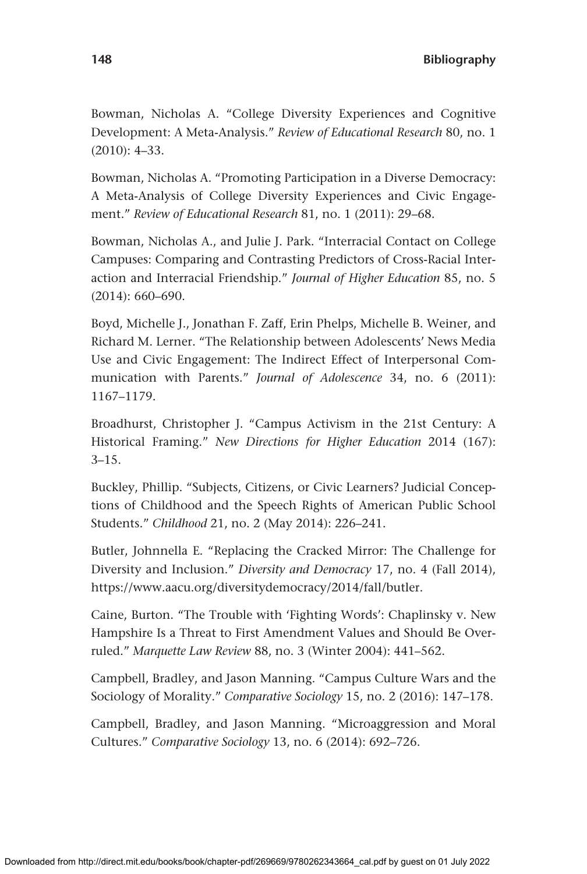Bowman, Nicholas A. "College Diversity Experiences and Cognitive Development: A Meta-Analysis." *Review of Educational Research* 80, no. 1 (2010): 4–33.

Bowman, Nicholas A. "Promoting Participation in a Diverse Democracy: A Meta-Analysis of College Diversity Experiences and Civic Engagement." *Review of Educational Research* 81, no. 1 (2011): 29–68.

Bowman, Nicholas A., and Julie J. Park. "Interracial Contact on College Campuses: Comparing and Contrasting Predictors of Cross-Racial Interaction and Interracial Friendship." *Journal of Higher Education* 85, no. 5 (2014): 660–690.

Boyd, Michelle J., Jonathan F. Zaff, Erin Phelps, Michelle B. Weiner, and Richard M. Lerner. "The Relationship between Adolescents' News Media Use and Civic Engagement: The Indirect Effect of Interpersonal Communication with Parents." *Journal of Adolescence* 34, no. 6 (2011): 1167–1179.

Broadhurst, Christopher J. "Campus Activism in the 21st Century: A Historical Framing." *New Directions for Higher Education* 2014 (167):  $3 - 15$ .

Buckley, Phillip. "Subjects, Citizens, or Civic Learners? Judicial Conceptions of Childhood and the Speech Rights of American Public School Students." *Childhood* 21, no. 2 (May 2014): 226–241.

Butler, Johnnella E. "Replacing the Cracked Mirror: The Challenge for Diversity and Inclusion." *Diversity and Democracy* 17, no. 4 (Fall 2014), [https://www.aacu.org/diversitydemocracy/2014/fall/butler.](https://www.aacu.org/diversitydemocracy/2014/fall/butler)

Caine, Burton. "The Trouble with 'Fighting Words': Chaplinsky v. New Hampshire Is a Threat to First Amendment Values and Should Be Overruled." *Marquette Law Review* 88, no. 3 (Winter 2004): 441–562.

Campbell, Bradley, and Jason Manning. "Campus Culture Wars and the Sociology of Morality." *Comparative Sociology* 15, no. 2 (2016): 147–178.

Campbell, Bradley, and Jason Manning. "Microaggression and Moral Cultures." *Comparative Sociology* 13, no. 6 (2014): 692–726.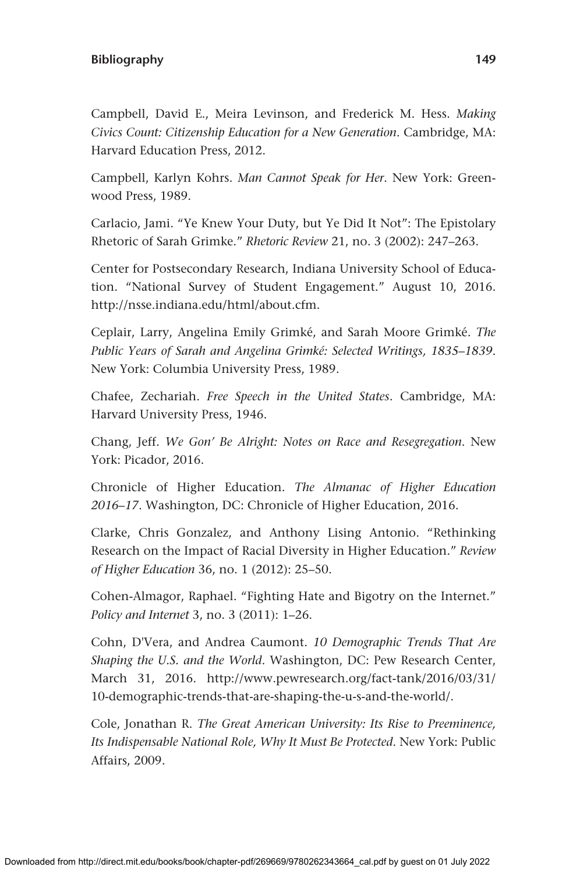Campbell, David E., Meira Levinson, and Frederick M. Hess. *Making Civics Count: Citizenship Education for a New Generation*. Cambridge, MA: Harvard Education Press, 2012.

Campbell, Karlyn Kohrs. *Man Cannot Speak for Her*. New York: Greenwood Press, 1989.

Carlacio, Jami. "Ye Knew Your Duty, but Ye Did It Not": The Epistolary Rhetoric of Sarah Grimke." *Rhetoric Review* 21, no. 3 (2002): 247–263.

Center for Postsecondary Research, Indiana University School of Education. "National Survey of Student Engagement." August 10, 2016. [http://nsse.indiana.edu/html/about.cfm.](http://nsse.indiana.edu/html/about.cfm)

Ceplair, Larry, Angelina Emily Grimké, and Sarah Moore Grimké. *The Public Years of Sarah and Angelina Grimké: Selected Writings, 1835–1839*. New York: Columbia University Press, 1989.

Chafee, Zechariah. *Free Speech in the United States*. Cambridge, MA: Harvard University Press, 1946.

Chang, Jeff. *We Gon' Be Alright: Notes on Race and Resegregation*. New York: Picador, 2016.

Chronicle of Higher Education. *The Almanac of Higher Education 2016–17*. Washington, DC: Chronicle of Higher Education, 2016.

Clarke, Chris Gonzalez, and Anthony Lising Antonio. "Rethinking Research on the Impact of Racial Diversity in Higher Education." *Review of Higher Education* 36, no. 1 (2012): 25–50.

Cohen-Almagor, Raphael. "Fighting Hate and Bigotry on the Internet." *Policy and Internet* 3, no. 3 (2011): 1–26.

Cohn, D'Vera, and Andrea Caumont. *10 Demographic Trends That Are Shaping the U.S. and the World*. Washington, DC: Pew Research Center, March 31, 2016. [http://www.pewresearch.org/fact-tank/2016/03/31/](http://www.pewresearch.org/fact-tank/2016/03/31/10-demographic-trends-that-are-shaping-the-u-s-and-the-world/) [10-demographic-trends-that-are-shaping-the-u-s-and-the-world/](http://www.pewresearch.org/fact-tank/2016/03/31/10-demographic-trends-that-are-shaping-the-u-s-and-the-world/).

Cole, Jonathan R. *The Great American University: Its Rise to Preeminence, Its Indispensable National Role, Why It Must Be Protected*. New York: Public Affairs, 2009.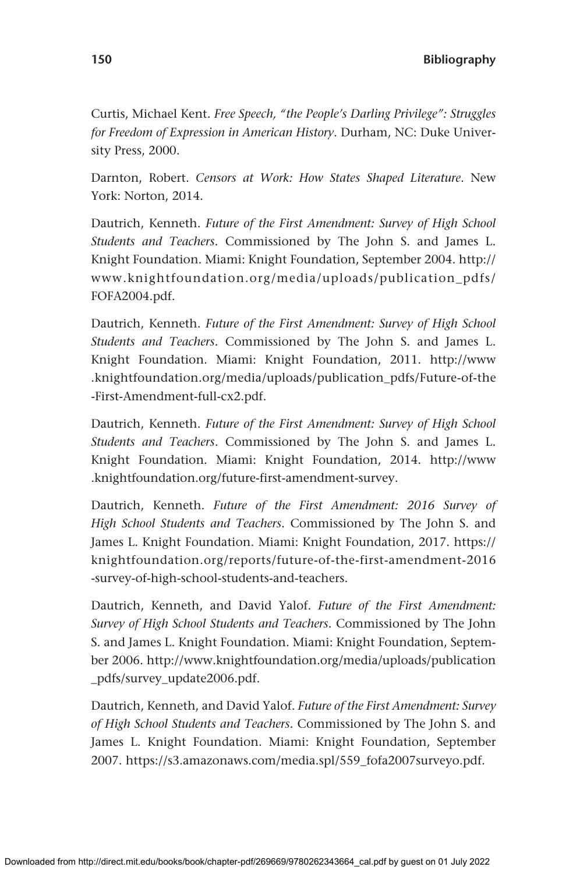Curtis, Michael Kent. *Free Speech, "the People's Darling Privilege": Struggles for Freedom of Expression in American History*. Durham, NC: Duke University Press, 2000.

Darnton, Robert. *Censors at Work: How States Shaped Literature*. New York: Norton, 2014.

Dautrich, Kenneth. *Future of the First Amendment: Survey of High School Students and Teachers.* Commissioned by The John S. and James L. Knight Foundation. Miami: Knight Foundation, September 2004. [http://](http://www.knightfoundation.org/media/uploads/publication_pdfs/FOFA2004.pdf) [www.knightfoundation.org/media/uploads/publication\\_pdfs/](http://www.knightfoundation.org/media/uploads/publication_pdfs/FOFA2004.pdf) [FOFA2004.pdf](http://www.knightfoundation.org/media/uploads/publication_pdfs/FOFA2004.pdf).

Dautrich, Kenneth. *Future of the First Amendment: Survey of High School Students and Teachers.* Commissioned by The John S. and James L. Knight Foundation. Miami: Knight Foundation, 2011. [http://www](http://www.knightfoundation.org/media/uploads/publication_pdfs/Future-of-the-First-Amendment-full-cx2.pdf) [.knightfoundation.org/media/uploads/publication\\_pdfs/Future-of-the](http://www.knightfoundation.org/media/uploads/publication_pdfs/Future-of-the-First-Amendment-full-cx2.pdf) [-First-Amendment-full-cx2.pdf](http://www.knightfoundation.org/media/uploads/publication_pdfs/Future-of-the-First-Amendment-full-cx2.pdf).

Dautrich, Kenneth. *Future of the First Amendment: Survey of High School Students and Teachers*. Commissioned by The John S. and James L. Knight Foundation. Miami: Knight Foundation, 2014. [http://www](http://www.knightfoundation.org/future-first-amendment-survey) [.knightfoundation.org/future-first-amendment-survey](http://www.knightfoundation.org/future-first-amendment-survey).

Dautrich, Kenneth. *Future of the First Amendment: 2016 Survey of High School Students and Teachers*. Commissioned by The John S. and James L. Knight Foundation. Miami: Knight Foundation, 2017. [https://](https://knightfoundation.org/reports/future-of-the-first-amendment-2016-survey-of-high-school-students-and-teachers) [knightfoundation.org/reports/future-of-the-first-amendment-2016](https://knightfoundation.org/reports/future-of-the-first-amendment-2016-survey-of-high-school-students-and-teachers) [-survey-of-high-school-students-and-teachers](https://knightfoundation.org/reports/future-of-the-first-amendment-2016-survey-of-high-school-students-and-teachers).

Dautrich, Kenneth, and David Yalof. *Future of the First Amendment: Survey of High School Students and Teachers.* Commissioned by The John S. and James L. Knight Foundation. Miami: Knight Foundation, September 2006. [http://www.knightfoundation.org/media/uploads/publication](http://www.knightfoundation.org/media/uploads/publication_pdfs/survey_update2006.pdf) [\\_pdfs/survey\\_update2006.pdf](http://www.knightfoundation.org/media/uploads/publication_pdfs/survey_update2006.pdf).

Dautrich, Kenneth, and David Yalof. *Future of the First Amendment: Survey of High School Students and Teachers.* Commissioned by The John S. and James L. Knight Foundation. Miami: Knight Foundation, September 2007. [https://s3.amazonaws.com/media.spl/559\\_fofa2007surveyo.pdf.](https://s3.amazonaws.com/media.spl/559_fofa2007surveyo.pdf)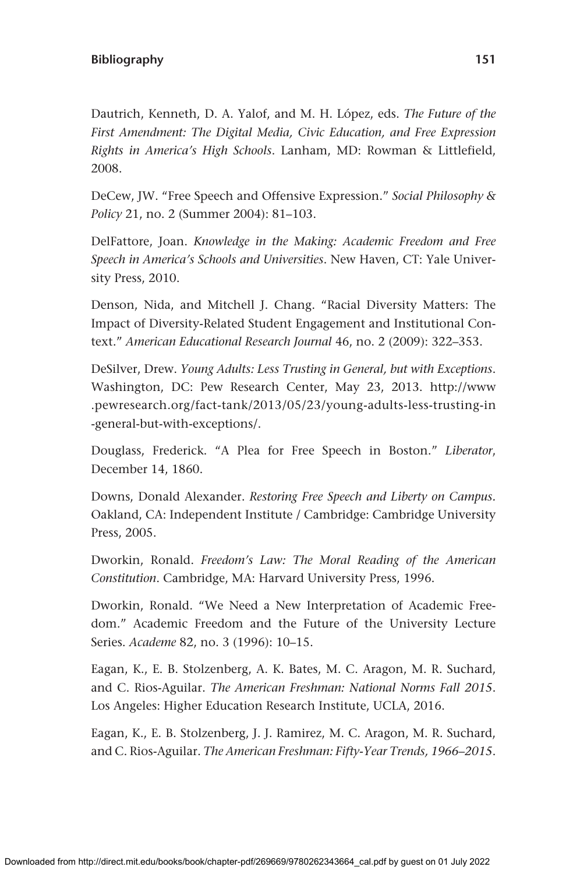Dautrich, Kenneth, D. A. Yalof, and M. H. López, eds. *The Future of the First Amendment: The Digital Media, Civic Education, and Free Expression Rights in America's High Schools*. Lanham, MD: Rowman & Littlefield, 2008.

DeCew, JW. "Free Speech and Offensive Expression." *Social Philosophy & Policy* 21, no. 2 (Summer 2004): 81–103.

DelFattore, Joan. *Knowledge in the Making: Academic Freedom and Free Speech in America's Schools and Universities*. New Haven, CT: Yale University Press, 2010.

Denson, Nida, and Mitchell J. Chang. "Racial Diversity Matters: The Impact of Diversity-Related Student Engagement and Institutional Context." *American Educational Research Journal* 46, no. 2 (2009): 322–353.

DeSilver, Drew. *Young Adults: Less Trusting in General, but with Exceptions*. Washington, DC: Pew Research Center, May 23, 2013. [http://www](http://www.pewresearch.org/fact-tank/2013/05/23/young-adults-less-trusting-in-general-but-with-exceptions/) [.pewresearch.org/fact-tank/2013/05/23/young-adults-less-trusting-in](http://www.pewresearch.org/fact-tank/2013/05/23/young-adults-less-trusting-in-general-but-with-exceptions/) [-general-but-with-exceptions/.](http://www.pewresearch.org/fact-tank/2013/05/23/young-adults-less-trusting-in-general-but-with-exceptions/)

Douglass, Frederick. "A Plea for Free Speech in Boston." *Liberator*, December 14, 1860.

Downs, Donald Alexander. *Restoring Free Speech and Liberty on Campus.*  Oakland, CA: Independent Institute / Cambridge: Cambridge University Press, 2005.

Dworkin, Ronald. *Freedom's Law: The Moral Reading of the American Constitution*. Cambridge, MA: Harvard University Press, 1996.

Dworkin, Ronald. "We Need a New Interpretation of Academic Freedom." Academic Freedom and the Future of the University Lecture Series. *Academe* 82, no. 3 (1996): 10–15.

Eagan, K., E. B. Stolzenberg, A. K. Bates, M. C. Aragon, M. R. Suchard, and C. Rios-Aguilar. *The American Freshman: National Norms Fall 2015*. Los Angeles: Higher Education Research Institute, UCLA, 2016.

Eagan, K., E. B. Stolzenberg, J. J. Ramirez, M. C. Aragon, M. R. Suchard, and C. Rios-Aguilar. *The American Freshman: Fifty-Year Trends, 1966–2015*.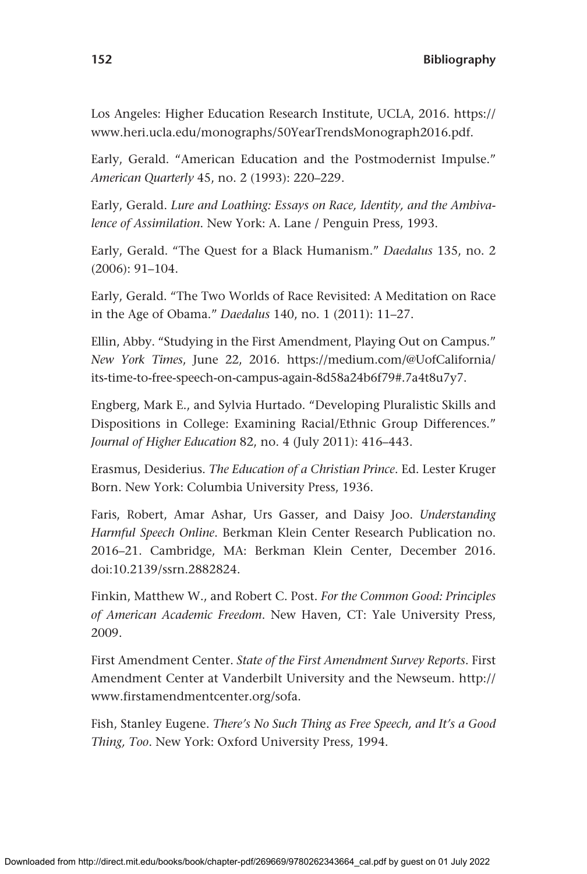Los Angeles: Higher Education Research Institute, UCLA, 2016. [https://](https://www.heri.ucla.edu/monographs/50YearTrendsMonograph2016.pdf) [www.heri.ucla.edu/monographs/50YearTrendsMonograph2016.pdf](https://www.heri.ucla.edu/monographs/50YearTrendsMonograph2016.pdf).

Early, Gerald. "American Education and the Postmodernist Impulse." *American Quarterly* 45, no. 2 (1993): 220–229.

Early, Gerald. *Lure and Loathing: Essays on Race, Identity, and the Ambivalence of Assimilation*. New York: A. Lane / Penguin Press, 1993.

Early, Gerald. "The Quest for a Black Humanism." *Daedalus* 135, no. 2 (2006): 91–104.

Early, Gerald. "The Two Worlds of Race Revisited: A Meditation on Race in the Age of Obama." *Daedalus* 140, no. 1 (2011): 11–27.

Ellin, Abby. "Studying in the First Amendment, Playing Out on Campus." *New York Times*, June 22, 2016. [https://medium.com/@UofCalifornia/](https://medium.com/@UofCalifornia/its-time-to-free-speech-on-campus-again-8d58a24b6f79#.7a4t8u7y7) [its-time-to-free-speech-on-campus-again-8d58a24b6f79#.7a4t8u7y7.](https://medium.com/@UofCalifornia/its-time-to-free-speech-on-campus-again-8d58a24b6f79#.7a4t8u7y7)

Engberg, Mark E., and Sylvia Hurtado. "Developing Pluralistic Skills and Dispositions in College: Examining Racial/Ethnic Group Differences." *Journal of Higher Education* 82, no. 4 (July 2011): 416–443.

Erasmus, Desiderius. *The Education of a Christian Prince*. Ed. Lester Kruger Born. New York: Columbia University Press, 1936.

Faris, Robert, Amar Ashar, Urs Gasser, and Daisy Joo. *Understanding Harmful Speech Online*. Berkman Klein Center Research Publication no. 2016–21. Cambridge, MA: Berkman Klein Center, December 2016. doi:10.2139/ssrn.2882824.

Finkin, Matthew W., and Robert C. Post. *For the Common Good: Principles of American Academic Freedom*. New Haven, CT: Yale University Press, 2009.

First Amendment Center. *State of the First Amendment Survey Reports*. First Amendment Center at Vanderbilt University and the Newseum. [http://](http://www.firstamendmentcenter.org/sofa) [www.firstamendmentcenter.org/sofa](http://www.firstamendmentcenter.org/sofa).

Fish, Stanley Eugene. *There's No Such Thing as Free Speech, and It's a Good Thing, Too*. New York: Oxford University Press, 1994.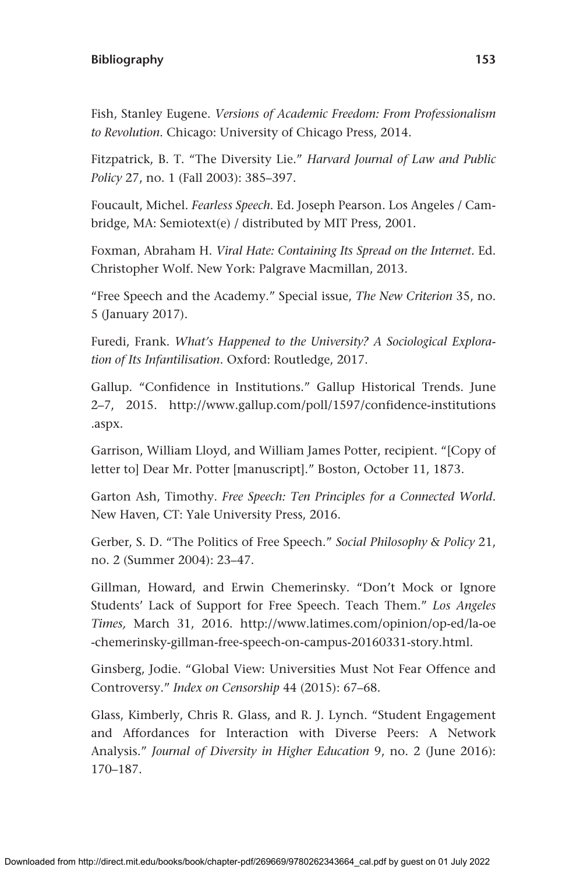Fish, Stanley Eugene. *Versions of Academic Freedom: From Professionalism to Revolution*. Chicago: University of Chicago Press, 2014.

Fitzpatrick, B. T. "The Diversity Lie." *Harvard Journal of Law and Public Policy* 27, no. 1 (Fall 2003): 385–397.

Foucault, Michel. *Fearless Speech*. Ed. Joseph Pearson. Los Angeles / Cambridge, MA: Semiotext(e) / distributed by MIT Press, 2001.

Foxman, Abraham H. *Viral Hate: Containing Its Spread on the Internet*. Ed. Christopher Wolf. New York: Palgrave Macmillan, 2013.

"Free Speech and the Academy." Special issue, *The New Criterion* 35, no. 5 (January 2017).

Furedi, Frank. *What's Happened to the University? A Sociological Exploration of Its Infantilisation*. Oxford: Routledge, 2017.

Gallup. "Confidence in Institutions." Gallup Historical Trends. June 2–7, 2015. [http://www.gallup.com/poll/1597/confidence-institutions](http://www.gallup.com/poll/1597/confidence-institutions.aspx) [.aspx.](http://www.gallup.com/poll/1597/confidence-institutions.aspx)

Garrison, William Lloyd, and William James Potter, recipient. "[Copy of letter to] Dear Mr. Potter [manuscript]." Boston, October 11, 1873.

Garton Ash, Timothy. *Free Speech: Ten Principles for a Connected World*. New Haven, CT: Yale University Press, 2016.

Gerber, S. D. "The Politics of Free Speech." *Social Philosophy & Policy* 21, no. 2 (Summer 2004): 23–47.

Gillman, Howard, and Erwin Chemerinsky. "Don't Mock or Ignore Students' Lack of Support for Free Speech. Teach Them." *Los Angeles Times,* March 31, 2016. [http://www.latimes.com/opinion/op-ed/la-oe](http://www.latimes.com/opinion/op-ed/la-oe-chemerinsky-gillman-free-speech-on-campus-20160331-story.html) [-chemerinsky-gillman-free-speech-on-campus-20160331-story.html.](http://www.latimes.com/opinion/op-ed/la-oe-chemerinsky-gillman-free-speech-on-campus-20160331-story.html)

Ginsberg, Jodie. "Global View: Universities Must Not Fear Offence and Controversy." *Index on Censorship* 44 (2015): 67–68.

Glass, Kimberly, Chris R. Glass, and R. J. Lynch. "Student Engagement and Affordances for Interaction with Diverse Peers: A Network Analysis." *Journal of Diversity in Higher Education* 9, no. 2 (June 2016): 170–187.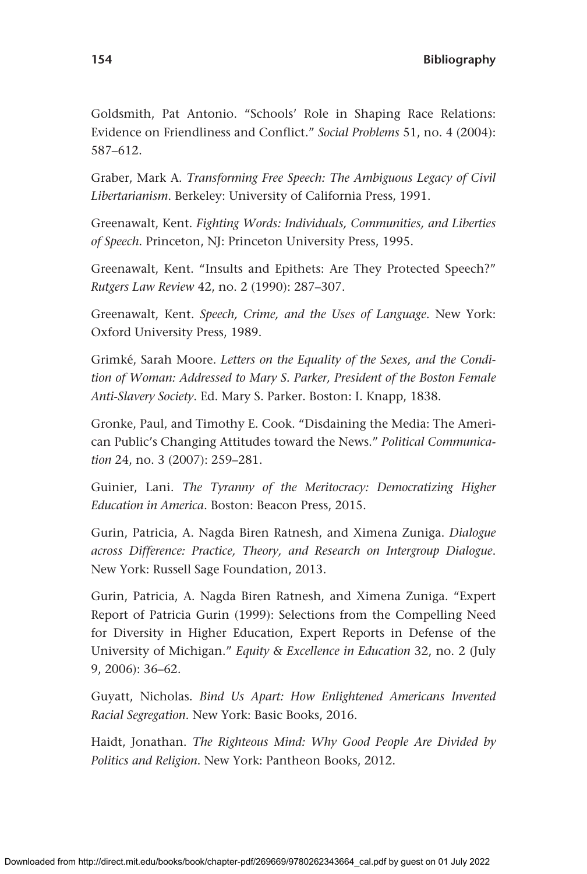Goldsmith, Pat Antonio. "Schools' Role in Shaping Race Relations: Evidence on Friendliness and Conflict." *Social Problems* 51, no. 4 (2004): 587–612.

Graber, Mark A. *Transforming Free Speech: The Ambiguous Legacy of Civil Libertarianism*. Berkeley: University of California Press, 1991.

Greenawalt, Kent. *Fighting Words: Individuals, Communities, and Liberties of Speech*. Princeton, NJ: Princeton University Press, 1995.

Greenawalt, Kent. "Insults and Epithets: Are They Protected Speech?" *Rutgers Law Review* 42, no. 2 (1990): 287–307.

Greenawalt, Kent. *Speech, Crime, and the Uses of Language*. New York: Oxford University Press, 1989.

Grimké, Sarah Moore. *Letters on the Equality of the Sexes, and the Condition of Woman: Addressed to Mary S. Parker, President of the Boston Female Anti-Slavery Society*. Ed. Mary S. Parker. Boston: I. Knapp, 1838.

Gronke, Paul, and Timothy E. Cook. "Disdaining the Media: The American Public's Changing Attitudes toward the News." *Political Communication* 24, no. 3 (2007): 259–281.

Guinier, Lani. *The Tyranny of the Meritocracy: Democratizing Higher Education in America*. Boston: Beacon Press, 2015.

Gurin, Patricia, A. Nagda Biren Ratnesh, and Ximena Zuniga. *Dialogue across Difference: Practice, Theory, and Research on Intergroup Dialogue*. New York: Russell Sage Foundation, 2013.

Gurin, Patricia, A. Nagda Biren Ratnesh, and Ximena Zuniga. "Expert Report of Patricia Gurin (1999): Selections from the Compelling Need for Diversity in Higher Education, Expert Reports in Defense of the University of Michigan." *Equity & Excellence in Education* 32, no. 2 (July 9, 2006): 36–62.

Guyatt, Nicholas. *Bind Us Apart: How Enlightened Americans Invented Racial Segregation*. New York: Basic Books, 2016.

Haidt, Jonathan. *The Righteous Mind: Why Good People Are Divided by Politics and Religion*. New York: Pantheon Books, 2012.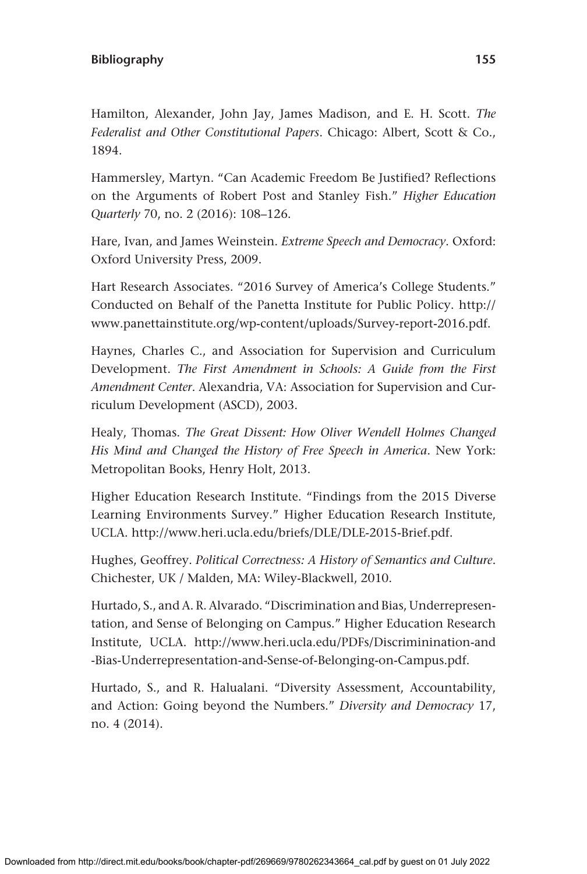Hamilton, Alexander, John Jay, James Madison, and E. H. Scott. *The Federalist and Other Constitutional Papers*. Chicago: Albert, Scott & Co., 1894.

Hammersley, Martyn. "Can Academic Freedom Be Justified? Reflections on the Arguments of Robert Post and Stanley Fish." *Higher Education Quarterly* 70, no. 2 (2016): 108–126.

Hare, Ivan, and James Weinstein. *Extreme Speech and Democracy*. Oxford: Oxford University Press, 2009.

Hart Research Associates. "2016 Survey of America's College Students." Conducted on Behalf of the Panetta Institute for Public Policy. [http://](http://www.panettainstitute.org/wp-content/uploads/Survey-report-2016.pdf) [www.panettainstitute.org/wp-content/uploads/Survey-report-2016.pdf](http://www.panettainstitute.org/wp-content/uploads/Survey-report-2016.pdf).

Haynes, Charles C., and Association for Supervision and Curriculum Development. *The First Amendment in Schools: A Guide from the First Amendment Center*. Alexandria, VA: Association for Supervision and Curriculum Development (ASCD), 2003.

Healy, Thomas. *The Great Dissent: How Oliver Wendell Holmes Changed His Mind and Changed the History of Free Speech in America*. New York: Metropolitan Books, Henry Holt, 2013.

Higher Education Research Institute. "Findings from the 2015 Diverse Learning Environments Survey." Higher Education Research Institute, UCLA. <http://www.heri.ucla.edu/briefs/DLE/DLE-2015-Brief.pdf>.

Hughes, Geoffrey. *Political Correctness: A History of Semantics and Culture*. Chichester, UK / Malden, MA: Wiley-Blackwell, 2010.

Hurtado, S., and A. R. Alvarado. "Discrimination and Bias, Underrepresentation, and Sense of Belonging on Campus." Higher Education Research Institute, UCLA. [http://www.heri.ucla.edu/PDFs/Discriminination-and](http://www.heri.ucla.edu/PDFs/Discriminination-and-Bias-Underrepresentation-and-Sense-of-Belonging-on-Campus.pdf) [-Bias-Underrepresentation-and-Sense-of-Belonging-on-Campus.pdf](http://www.heri.ucla.edu/PDFs/Discriminination-and-Bias-Underrepresentation-and-Sense-of-Belonging-on-Campus.pdf).

Hurtado, S., and R. Halualani. "Diversity Assessment, Accountability, and Action: Going beyond the Numbers." *Diversity and Democracy* 17, no. 4 (2014).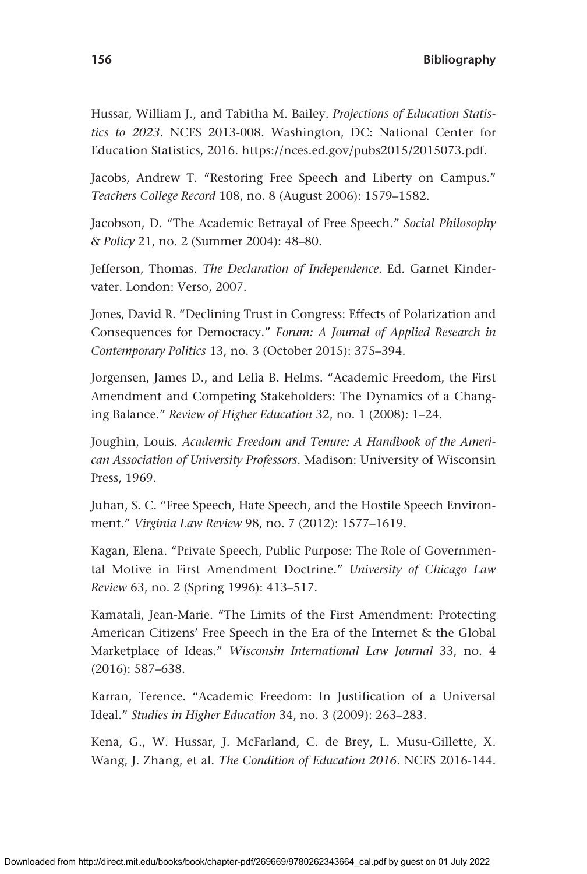Hussar, William J., and Tabitha M. Bailey. *Projections of Education Statistics to 2023*. NCES 2013-008. Washington, DC: National Center for Education Statistics, 2016.<https://nces.ed.gov/pubs2015/2015073.pdf>.

Jacobs, Andrew T. "Restoring Free Speech and Liberty on Campus." *Teachers College Record* 108, no. 8 (August 2006): 1579–1582.

Jacobson, D. "The Academic Betrayal of Free Speech." *Social Philosophy & Policy* 21, no. 2 (Summer 2004): 48–80.

Jefferson, Thomas. *The Declaration of Independence*. Ed. Garnet Kindervater. London: Verso, 2007.

Jones, David R. "Declining Trust in Congress: Effects of Polarization and Consequences for Democracy." *Forum: A Journal of Applied Research in Contemporary Politics* 13, no. 3 (October 2015): 375–394.

Jorgensen, James D., and Lelia B. Helms. "Academic Freedom, the First Amendment and Competing Stakeholders: The Dynamics of a Changing Balance." *Review of Higher Education* 32, no. 1 (2008): 1–24.

Joughin, Louis. *Academic Freedom and Tenure: A Handbook of the American Association of University Professors*. Madison: University of Wisconsin Press, 1969.

Juhan, S. C. "Free Speech, Hate Speech, and the Hostile Speech Environment." *Virginia Law Review* 98, no. 7 (2012): 1577–1619.

Kagan, Elena. "Private Speech, Public Purpose: The Role of Governmental Motive in First Amendment Doctrine." *University of Chicago Law Review* 63, no. 2 (Spring 1996): 413–517.

Kamatali, Jean-Marie. "The Limits of the First Amendment: Protecting American Citizens' Free Speech in the Era of the Internet & the Global Marketplace of Ideas." *Wisconsin International Law Journal* 33, no. 4 (2016): 587–638.

Karran, Terence. "Academic Freedom: In Justification of a Universal Ideal." *Studies in Higher Education* 34, no. 3 (2009): 263–283.

Kena, G., W. Hussar, J. McFarland, C. de Brey, L. Musu-Gillette, X. Wang, J. Zhang, et al. *The Condition of Education 2016*. NCES 2016-144.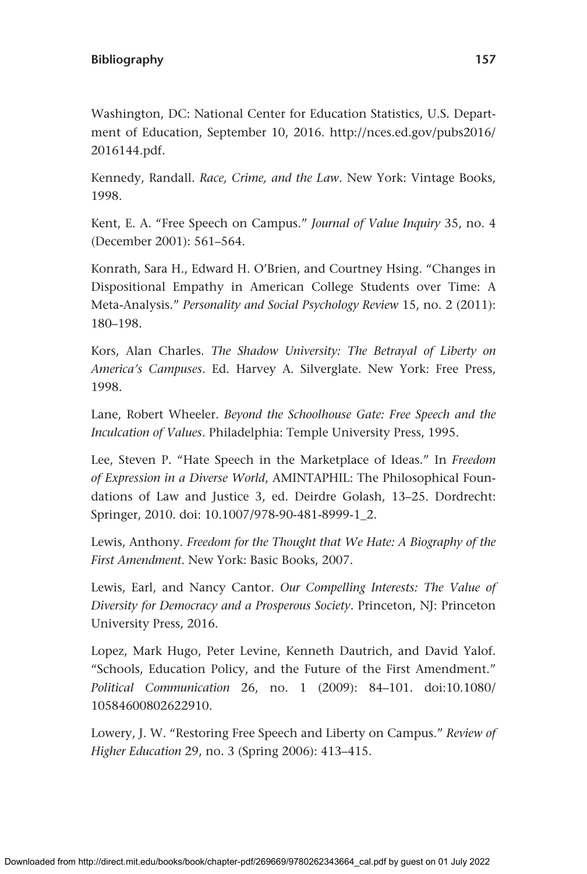Washington, DC: National Center for Education Statistics, U.S. Department of Education, September 10, 2016. [http://nces.ed.gov/pubs2016/](http://nces.ed.gov/pubs2016/2016144.pdf) [2016144.pdf.](http://nces.ed.gov/pubs2016/2016144.pdf)

Kennedy, Randall. *Race, Crime, and the Law*. New York: Vintage Books, 1998.

Kent, E. A. "Free Speech on Campus." *Journal of Value Inquiry* 35, no. 4 (December 2001): 561–564.

Konrath, Sara H., Edward H. O'Brien, and Courtney Hsing. "Changes in Dispositional Empathy in American College Students over Time: A Meta-Analysis." *Personality and Social Psychology Review* 15, no. 2 (2011): 180–198.

Kors, Alan Charles. *The Shadow University: The Betrayal of Liberty on America's Campuses*. Ed. Harvey A. Silverglate. New York: Free Press, 1998.

Lane, Robert Wheeler. *Beyond the Schoolhouse Gate: Free Speech and the Inculcation of Values*. Philadelphia: Temple University Press, 1995.

Lee, Steven P. "Hate Speech in the Marketplace of Ideas." In *Freedom of Expression in a Diverse World*, AMINTAPHIL: The Philosophical Foundations of Law and Justice 3, ed. Deirdre Golash, 13–25. Dordrecht: Springer, 2010. doi: 10.1007/978-90-481-8999-1\_2.

Lewis, Anthony. *Freedom for the Thought that We Hate: A Biography of the First Amendment*. New York: Basic Books, 2007.

Lewis, Earl, and Nancy Cantor. *Our Compelling Interests: The Value of Diversity for Democracy and a Prosperous Society*. Princeton, NJ: Princeton University Press, 2016.

Lopez, Mark Hugo, Peter Levine, Kenneth Dautrich, and David Yalof. "Schools, Education Policy, and the Future of the First Amendment." *Political Communication* 26, no. 1 (2009): 84–101. doi:10.1080/ 10584600802622910.

Lowery, J. W. "Restoring Free Speech and Liberty on Campus." *Review of Higher Education* 29, no. 3 (Spring 2006): 413–415.

Downloaded from http://direct.mit.edu/books/book/chapter-pdf/269669/9780262343664\_cal.pdf by guest on 01 July 2022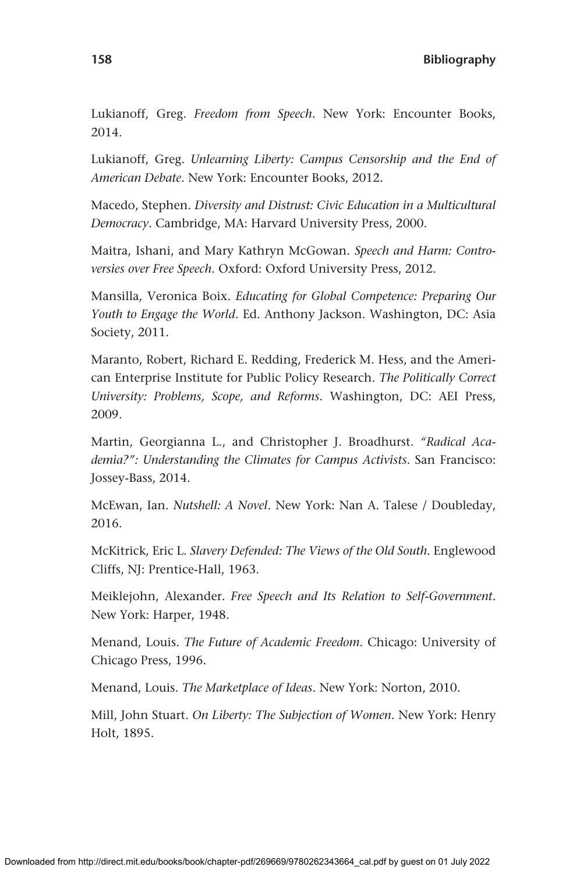Lukianoff, Greg. *Freedom from Speech*. New York: Encounter Books, 2014.

Lukianoff, Greg. *Unlearning Liberty: Campus Censorship and the End of American Debate*. New York: Encounter Books, 2012.

Macedo, Stephen. *Diversity and Distrust: Civic Education in a Multicultural Democracy*. Cambridge, MA: Harvard University Press, 2000.

Maitra, Ishani, and Mary Kathryn McGowan. *Speech and Harm: Controversies over Free Speech*. Oxford: Oxford University Press, 2012.

Mansilla, Veronica Boix. *Educating for Global Competence: Preparing Our Youth to Engage the World*. Ed. Anthony Jackson. Washington, DC: Asia Society, 2011.

Maranto, Robert, Richard E. Redding, Frederick M. Hess, and the American Enterprise Institute for Public Policy Research. *The Politically Correct University: Problems, Scope, and Reforms*. Washington, DC: AEI Press, 2009.

Martin, Georgianna L., and Christopher J. Broadhurst. *"Radical Academia?": Understanding the Climates for Campus Activists*. San Francisco: Jossey-Bass, 2014.

McEwan, Ian. *Nutshell: A Novel*. New York: Nan A. Talese / Doubleday, 2016.

McKitrick, Eric L. *Slavery Defended: The Views of the Old South*. Englewood Cliffs, NJ: Prentice-Hall, 1963.

Meiklejohn, Alexander. *Free Speech and Its Relation to Self-Government*. New York: Harper, 1948.

Menand, Louis. *The Future of Academic Freedom*. Chicago: University of Chicago Press, 1996.

Menand, Louis. *The Marketplace of Ideas*. New York: Norton, 2010.

Mill, John Stuart. *On Liberty: The Subjection of Women*. New York: Henry Holt, 1895.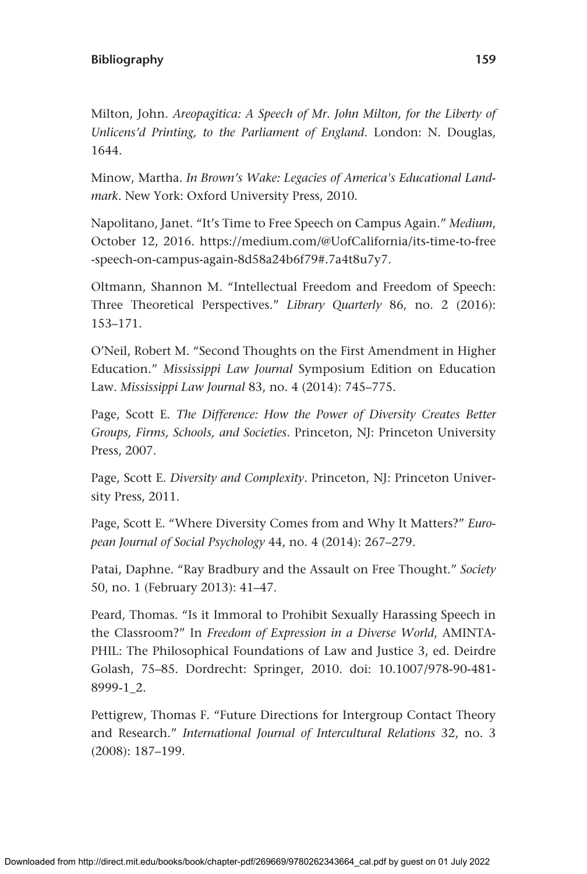Milton, John. *Areopagitica: A Speech of Mr. John Milton, for the Liberty of Unlicens'd Printing, to the Parliament of England*. London: N. Douglas, 1644.

Minow, Martha. *In Brown's Wake: Legacies of America's Educational Landmark*. New York: Oxford University Press, 2010.

Napolitano, Janet. "It's Time to Free Speech on Campus Again." *Medium*, October 12, 2016. [https://medium.com/@UofCalifornia/its-time-to-free](https://medium.com/@UofCalifornia/its-time-to-free-speech-on-campus-again-8d58a24b6f79#.7a4t8u7y7) [-speech-on-campus-again-8d58a24b6f79#.7a4t8u7y7.](https://medium.com/@UofCalifornia/its-time-to-free-speech-on-campus-again-8d58a24b6f79#.7a4t8u7y7)

Oltmann, Shannon M. "Intellectual Freedom and Freedom of Speech: Three Theoretical Perspectives." *Library Quarterly* 86, no. 2 (2016): 153–171.

O'Neil, Robert M. "Second Thoughts on the First Amendment in Higher Education." *Mississippi Law Journal* Symposium Edition on Education Law. *Mississippi Law Journal* 83, no. 4 (2014): 745–775.

Page, Scott E. *The Difference: How the Power of Diversity Creates Better Groups, Firms, Schools, and Societies*. Princeton, NJ: Princeton University Press, 2007.

Page, Scott E. *Diversity and Complexity*. Princeton, NJ: Princeton University Press, 2011.

Page, Scott E. "Where Diversity Comes from and Why It Matters?" *European Journal of Social Psychology* 44, no. 4 (2014): 267–279.

Patai, Daphne. "Ray Bradbury and the Assault on Free Thought." *Society* 50, no. 1 (February 2013): 41–47.

Peard, Thomas. "Is it Immoral to Prohibit Sexually Harassing Speech in the Classroom?" In *Freedom of Expression in a Diverse World*, AMINTA-PHIL: The Philosophical Foundations of Law and Justice 3, ed. Deirdre Golash, 75–85. Dordrecht: Springer, 2010. doi: 10.1007/978-90-481- 8999-1\_2.

Pettigrew, Thomas F. "Future Directions for Intergroup Contact Theory and Research." *International Journal of Intercultural Relations* 32, no. 3 (2008): 187–199.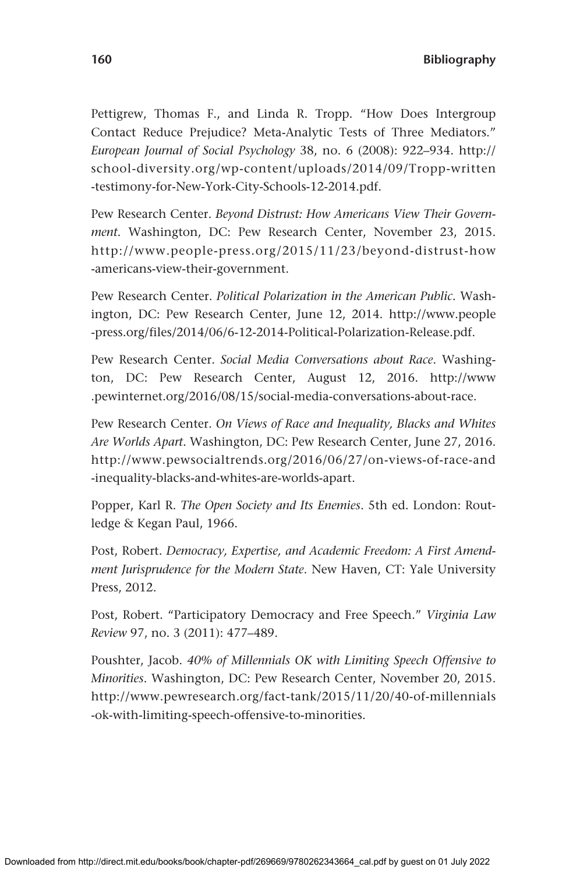Pettigrew, Thomas F., and Linda R. Tropp. "How Does Intergroup Contact Reduce Prejudice? Meta-Analytic Tests of Three Mediators." *European Journal of Social Psychology* 38, no. 6 (2008): 922–934. [http://](http://school-diversity.org/wp-content/uploads/2014/09/Tropp-written-testimony-for-New-York-City-Schools-12-2014.pdf) [school-diversity.org/wp-content/uploads/2014/09/Tropp-written](http://school-diversity.org/wp-content/uploads/2014/09/Tropp-written-testimony-for-New-York-City-Schools-12-2014.pdf) [-testimony-for-New-York-City-Schools-12-2014.pdf](http://school-diversity.org/wp-content/uploads/2014/09/Tropp-written-testimony-for-New-York-City-Schools-12-2014.pdf).

Pew Research Center. *Beyond Distrust: How Americans View Their Government*. Washington, DC: Pew Research Center, November 23, 2015. [http://www.people-press.org/2015/11/23/beyond-distrust-how](http://www.people-press.org/2015/11/23/beyond-distrust-how-americans-view-their-government) [-americans-view-their-government](http://www.people-press.org/2015/11/23/beyond-distrust-how-americans-view-their-government).

Pew Research Center. *Political Polarization in the American Public*. Washington, DC: Pew Research Center, June 12, 2014. [http://www.people](http://www.people-press.org/files/2014/06/6-12-2014-Political-Polarization-Release.pdf) [-press.org/files/2014/06/6-12-2014-Political-Polarization-Release.pdf](http://www.people-press.org/files/2014/06/6-12-2014-Political-Polarization-Release.pdf).

Pew Research Center. *Social Media Conversations about Race*. Washington, DC: Pew Research Center, August 12, 2016. [http://www](http://www.pewinternet.org/2016/08/15/social-media-conversations-about-race) [.pewinternet.org/2016/08/15/social-media-conversations-about-race](http://www.pewinternet.org/2016/08/15/social-media-conversations-about-race).

Pew Research Center. *On Views of Race and Inequality, Blacks and Whites Are Worlds Apart*. Washington, DC: Pew Research Center, June 27, 2016. [http://www.pewsocialtrends.org/2016/06/27/on-views-of-race-and](http://www.pewsocialtrends.org/2016/06/27/on-views-of-race-and-inequality-blacks-and-whites-are-worlds-apart) [-inequality-blacks-and-whites-are-worlds-apart.](http://www.pewsocialtrends.org/2016/06/27/on-views-of-race-and-inequality-blacks-and-whites-are-worlds-apart)

Popper, Karl R. *The Open Society and Its Enemies*. 5th ed. London: Routledge & Kegan Paul, 1966.

Post, Robert. *Democracy, Expertise, and Academic Freedom: A First Amendment Jurisprudence for the Modern State*. New Haven, CT: Yale University Press, 2012.

Post, Robert. "Participatory Democracy and Free Speech." *Virginia Law Review* 97, no. 3 (2011): 477–489.

Poushter, Jacob. *40% of Millennials OK with Limiting Speech Offensive to Minorities*. Washington, DC: Pew Research Center, November 20, 2015. [http://www.pewresearch.org/fact-tank/2015/11/20/40-of-millennials](http://www.pewresearch.org/fact-tank/2015/11/20/40-of-millennials-ok-with-limiting-speech-offensive-to-minorities) [-ok-with-limiting-speech-offensive-to-minorities.](http://www.pewresearch.org/fact-tank/2015/11/20/40-of-millennials-ok-with-limiting-speech-offensive-to-minorities)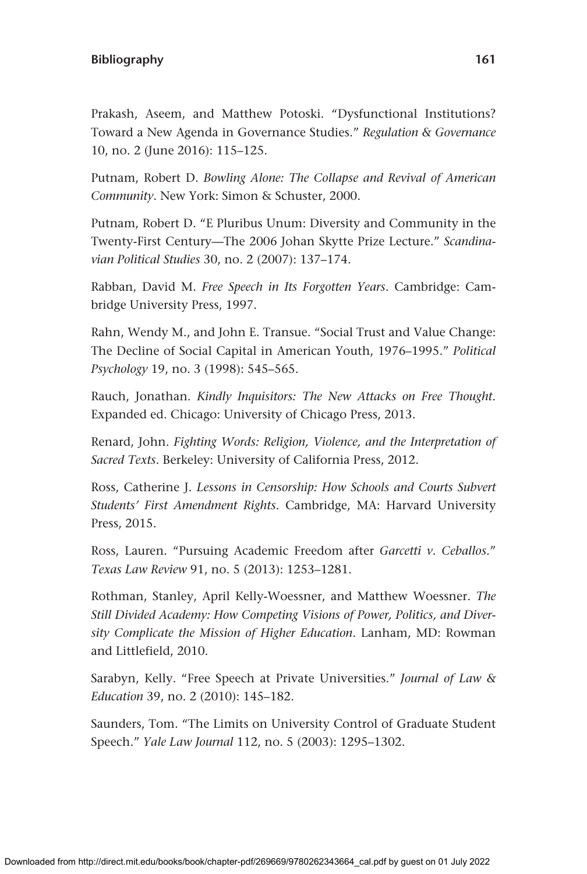Prakash, Aseem, and Matthew Potoski. "Dysfunctional Institutions? Toward a New Agenda in Governance Studies." *Regulation & Governance* 10, no. 2 (June 2016): 115–125.

Putnam, Robert D. *Bowling Alone: The Collapse and Revival of American Community*. New York: Simon & Schuster, 2000.

Putnam, Robert D. "E Pluribus Unum: Diversity and Community in the Twenty-First Century—The 2006 Johan Skytte Prize Lecture." *Scandinavian Political Studies* 30, no. 2 (2007): 137–174.

Rabban, David M. *Free Speech in Its Forgotten Years*. Cambridge: Cambridge University Press, 1997.

Rahn, Wendy M., and John E. Transue. "Social Trust and Value Change: The Decline of Social Capital in American Youth, 1976–1995." *Political Psychology* 19, no. 3 (1998): 545–565.

Rauch, Jonathan. *Kindly Inquisitors: The New Attacks on Free Thought.*  Expanded ed. Chicago: University of Chicago Press, 2013.

Renard, John. *Fighting Words: Religion, Violence, and the Interpretation of Sacred Texts*. Berkeley: University of California Press, 2012.

Ross, Catherine J. *Lessons in Censorship: How Schools and Courts Subvert Students' First Amendment Rights*. Cambridge, MA: Harvard University Press, 2015.

Ross, Lauren. "Pursuing Academic Freedom after *Garcetti v. Ceballos*." *Texas Law Review* 91, no. 5 (2013): 1253–1281.

Rothman, Stanley, April Kelly-Woessner, and Matthew Woessner. *The Still Divided Academy: How Competing Visions of Power, Politics, and Diversity Complicate the Mission of Higher Education*. Lanham, MD: Rowman and Littlefield, 2010.

Sarabyn, Kelly. "Free Speech at Private Universities." *Journal of Law & Education* 39, no. 2 (2010): 145–182.

Saunders, Tom. "The Limits on University Control of Graduate Student Speech." *Yale Law Journal* 112, no. 5 (2003): 1295–1302.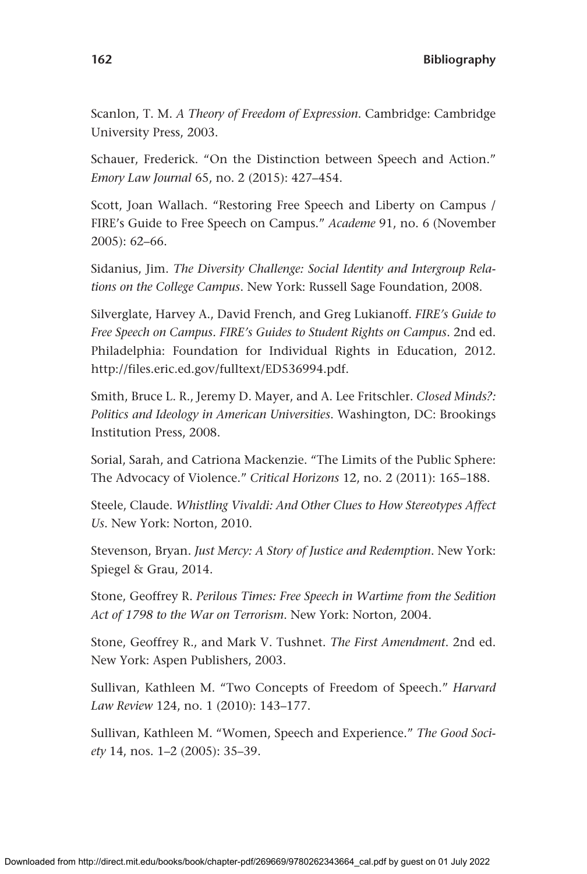Scanlon, T. M. *A Theory of Freedom of Expression*. Cambridge: Cambridge University Press, 2003.

Schauer, Frederick. "On the Distinction between Speech and Action." *Emory Law Journal* 65, no. 2 (2015): 427–454.

Scott, Joan Wallach. "Restoring Free Speech and Liberty on Campus / FIRE's Guide to Free Speech on Campus." *Academe* 91, no. 6 (November 2005): 62–66.

Sidanius, Jim. *The Diversity Challenge: Social Identity and Intergroup Relations on the College Campus*. New York: Russell Sage Foundation, 2008.

Silverglate, Harvey A., David French, and Greg Lukianoff. *FIRE's Guide to Free Speech on Campus. FIRE's Guides to Student Rights on Campus*. 2nd ed. Philadelphia: Foundation for Individual Rights in Education, 2012. [http://files.eric.ed.gov/fulltext/ED536994.pdf.](http://files.eric.ed.gov/fulltext/ED536994.pdf)

Smith, Bruce L. R., Jeremy D. Mayer, and A. Lee Fritschler. *Closed Minds?: Politics and Ideology in American Universities*. Washington, DC: Brookings Institution Press, 2008.

Sorial, Sarah, and Catriona Mackenzie. "The Limits of the Public Sphere: The Advocacy of Violence." *Critical Horizons* 12, no. 2 (2011): 165–188.

Steele, Claude. *Whistling Vivaldi: And Other Clues to How Stereotypes Affect Us*. New York: Norton, 2010.

Stevenson, Bryan. *Just Mercy: A Story of Justice and Redemption*. New York: Spiegel & Grau, 2014.

Stone, Geoffrey R. *Perilous Times: Free Speech in Wartime from the Sedition Act of 1798 to the War on Terrorism*. New York: Norton, 2004.

Stone, Geoffrey R., and Mark V. Tushnet. *The First Amendment*. 2nd ed. New York: Aspen Publishers, 2003.

Sullivan, Kathleen M. "Two Concepts of Freedom of Speech." *Harvard Law Review* 124, no. 1 (2010): 143–177.

Sullivan, Kathleen M. "Women, Speech and Experience." *The Good Society* 14, nos. 1–2 (2005): 35–39.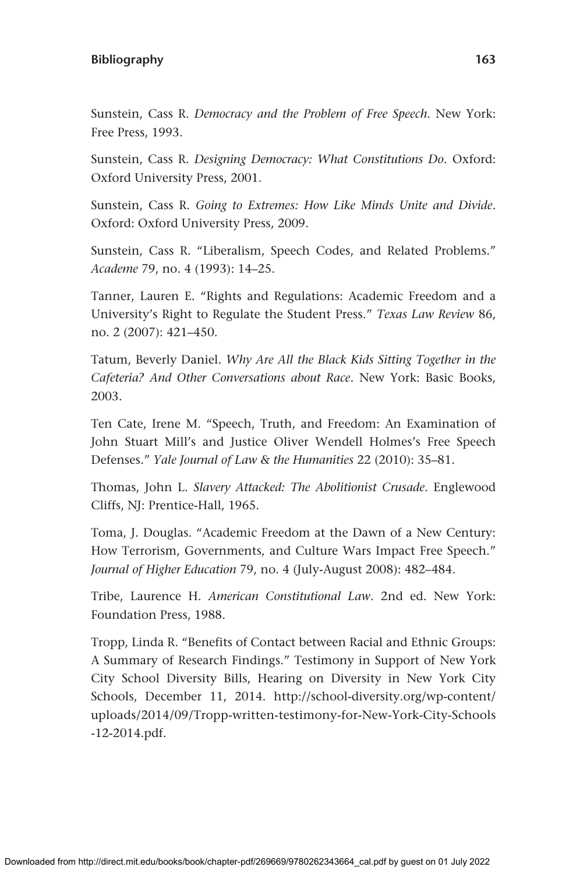Sunstein, Cass R. *Democracy and the Problem of Free Speech*. New York: Free Press, 1993.

Sunstein, Cass R. *Designing Democracy: What Constitutions Do*. Oxford: Oxford University Press, 2001.

Sunstein, Cass R. *Going to Extremes: How Like Minds Unite and Divide*. Oxford: Oxford University Press, 2009.

Sunstein, Cass R. "Liberalism, Speech Codes, and Related Problems." *Academe* 79, no. 4 (1993): 14–25.

Tanner, Lauren E. "Rights and Regulations: Academic Freedom and a University's Right to Regulate the Student Press." *Texas Law Review* 86, no. 2 (2007): 421–450.

Tatum, Beverly Daniel. *Why Are All the Black Kids Sitting Together in the Cafeteria? And Other Conversations about Race*. New York: Basic Books, 2003.

Ten Cate, Irene M. "Speech, Truth, and Freedom: An Examination of John Stuart Mill's and Justice Oliver Wendell Holmes's Free Speech Defenses." *Yale Journal of Law & the Humanities* 22 (2010): 35–81.

Thomas, John L. *Slavery Attacked: The Abolitionist Crusade*. Englewood Cliffs, NJ: Prentice-Hall, 1965.

Toma, J. Douglas. "Academic Freedom at the Dawn of a New Century: How Terrorism, Governments, and Culture Wars Impact Free Speech." *Journal of Higher Education* 79, no. 4 (July-August 2008): 482–484.

Tribe, Laurence H. *American Constitutional Law*. 2nd ed. New York: Foundation Press, 1988.

Tropp, Linda R. "Benefits of Contact between Racial and Ethnic Groups: A Summary of Research Findings." Testimony in Support of New York City School Diversity Bills, Hearing on Diversity in New York City Schools, December 11, 2014. [http://school-diversity.org/wp-content/](http://school-diversity.org/wp-content/uploads/2014/09/Tropp-written-testimony-for-New-York-City-Schools-12-2014.pdf) [uploads/2014/09/Tropp-written-testimony-for-New-York-City-Schools](http://school-diversity.org/wp-content/uploads/2014/09/Tropp-written-testimony-for-New-York-City-Schools-12-2014.pdf) [-12-2014.pdf](http://school-diversity.org/wp-content/uploads/2014/09/Tropp-written-testimony-for-New-York-City-Schools-12-2014.pdf).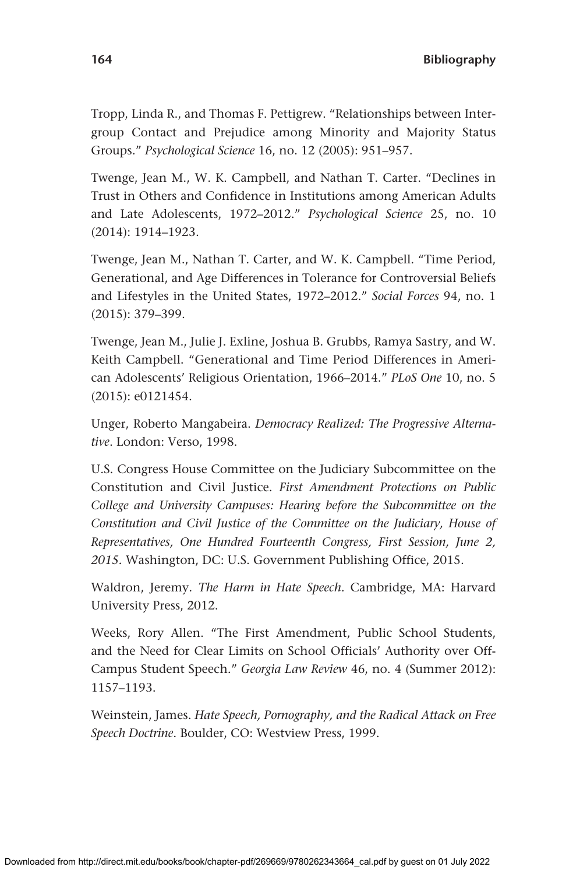Tropp, Linda R., and Thomas F. Pettigrew. "Relationships between Intergroup Contact and Prejudice among Minority and Majority Status Groups." *Psychological Science* 16, no. 12 (2005): 951–957.

Twenge, Jean M., W. K. Campbell, and Nathan T. Carter. "Declines in Trust in Others and Confidence in Institutions among American Adults and Late Adolescents, 1972–2012." *Psychological Science* 25, no. 10 (2014): 1914–1923.

Twenge, Jean M., Nathan T. Carter, and W. K. Campbell. "Time Period, Generational, and Age Differences in Tolerance for Controversial Beliefs and Lifestyles in the United States, 1972–2012." *Social Forces* 94, no. 1 (2015): 379–399.

Twenge, Jean M., Julie J. Exline, Joshua B. Grubbs, Ramya Sastry, and W. Keith Campbell. "Generational and Time Period Differences in American Adolescents' Religious Orientation, 1966–2014." *PLoS One* 10, no. 5 (2015): e0121454.

Unger, Roberto Mangabeira. *Democracy Realized: The Progressive Alternative*. London: Verso, 1998.

U.S. Congress House Committee on the Judiciary Subcommittee on the Constitution and Civil Justice. *First Amendment Protections on Public College and University Campuses: Hearing before the Subcommittee on the Constitution and Civil Justice of the Committee on the Judiciary, House of Representatives, One Hundred Fourteenth Congress, First Session, June 2, 2015.* Washington, DC: U.S. Government Publishing Office, 2015.

Waldron, Jeremy. *The Harm in Hate Speech*. Cambridge, MA: Harvard University Press, 2012.

Weeks, Rory Allen. "The First Amendment, Public School Students, and the Need for Clear Limits on School Officials' Authority over Off-Campus Student Speech." *Georgia Law Review* 46, no. 4 (Summer 2012): 1157–1193.

Weinstein, James. *Hate Speech, Pornography, and the Radical Attack on Free Speech Doctrine*. Boulder, CO: Westview Press, 1999.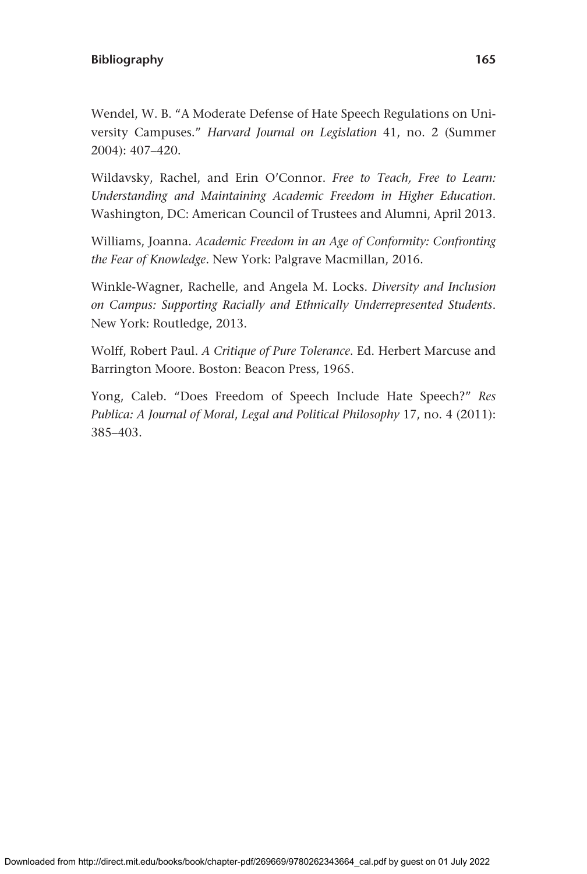Wendel, W. B. "A Moderate Defense of Hate Speech Regulations on University Campuses." *Harvard Journal on Legislation* 41, no. 2 (Summer 2004): 407–420.

Wildavsky, Rachel, and Erin O'Connor. *Free to Teach, Free to Learn: Understanding and Maintaining Academic Freedom in Higher Education*. Washington, DC: American Council of Trustees and Alumni, April 2013.

Williams, Joanna. *Academic Freedom in an Age of Conformity: Confronting the Fear of Knowledge*. New York: Palgrave Macmillan, 2016.

Winkle-Wagner, Rachelle, and Angela M. Locks. *Diversity and Inclusion on Campus: Supporting Racially and Ethnically Underrepresented Students*. New York: Routledge, 2013.

Wolff, Robert Paul. *A Critique of Pure Tolerance*. Ed. Herbert Marcuse and Barrington Moore. Boston: Beacon Press, 1965.

Yong, Caleb. "Does Freedom of Speech Include Hate Speech?" *Res Publica: A Journal of Moral*, *Legal and Political Philosophy* 17, no. 4 (2011): 385–403.